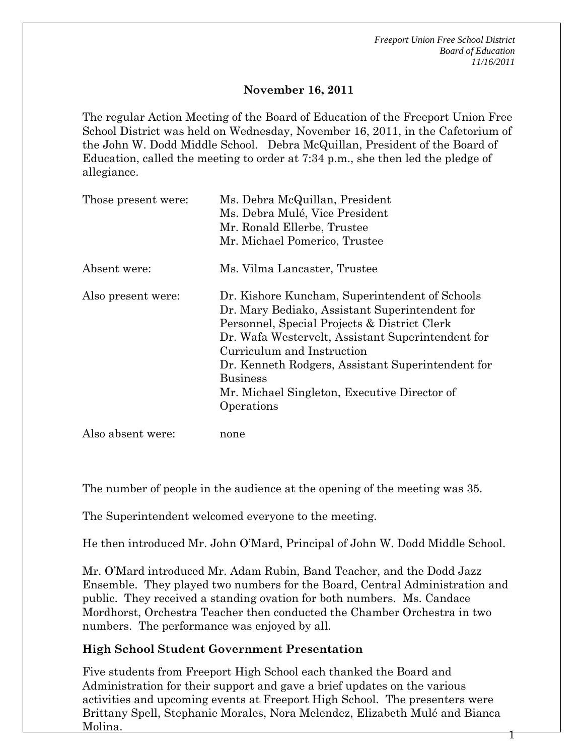1

### **November 16, 2011**

The regular Action Meeting of the Board of Education of the Freeport Union Free School District was held on Wednesday, November 16, 2011, in the Cafetorium of the John W. Dodd Middle School. Debra McQuillan, President of the Board of Education, called the meeting to order at 7:34 p.m., she then led the pledge of allegiance.

| Those present were: | Ms. Debra McQuillan, President<br>Ms. Debra Mulé, Vice President<br>Mr. Ronald Ellerbe, Trustee<br>Mr. Michael Pomerico, Trustee                                                                                                                                                                                                                                          |
|---------------------|---------------------------------------------------------------------------------------------------------------------------------------------------------------------------------------------------------------------------------------------------------------------------------------------------------------------------------------------------------------------------|
| Absent were:        | Ms. Vilma Lancaster, Trustee                                                                                                                                                                                                                                                                                                                                              |
| Also present were:  | Dr. Kishore Kuncham, Superintendent of Schools<br>Dr. Mary Bediako, Assistant Superintendent for<br>Personnel, Special Projects & District Clerk<br>Dr. Wafa Westervelt, Assistant Superintendent for<br>Curriculum and Instruction<br>Dr. Kenneth Rodgers, Assistant Superintendent for<br><b>Business</b><br>Mr. Michael Singleton, Executive Director of<br>Operations |

Also absent were: none

The number of people in the audience at the opening of the meeting was 35.

The Superintendent welcomed everyone to the meeting.

He then introduced Mr. John O'Mard, Principal of John W. Dodd Middle School.

Mr. O'Mard introduced Mr. Adam Rubin, Band Teacher, and the Dodd Jazz Ensemble. They played two numbers for the Board, Central Administration and public. They received a standing ovation for both numbers. Ms. Candace Mordhorst, Orchestra Teacher then conducted the Chamber Orchestra in two numbers. The performance was enjoyed by all.

#### **High School Student Government Presentation**

Five students from Freeport High School each thanked the Board and Administration for their support and gave a brief updates on the various activities and upcoming events at Freeport High School. The presenters were Brittany Spell, Stephanie Morales, Nora Melendez, Elizabeth Mulé and Bianca Molina.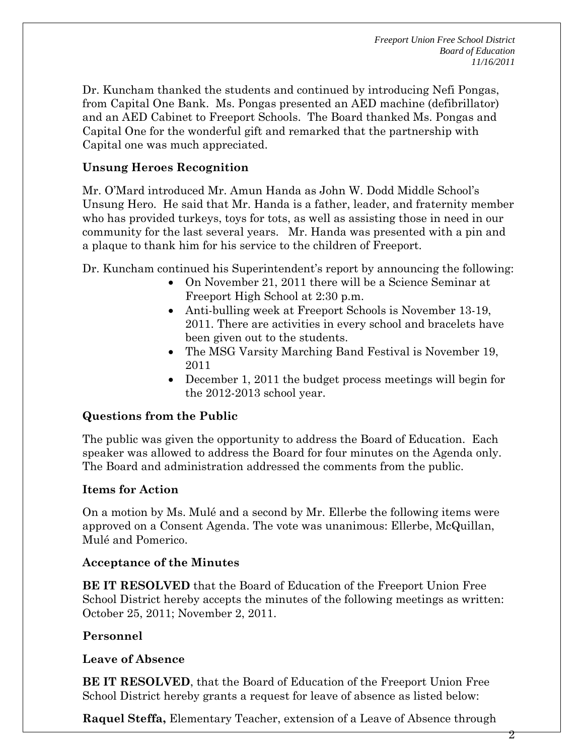Dr. Kuncham thanked the students and continued by introducing Nefi Pongas, from Capital One Bank. Ms. Pongas presented an AED machine (defibrillator) and an AED Cabinet to Freeport Schools. The Board thanked Ms. Pongas and Capital One for the wonderful gift and remarked that the partnership with Capital one was much appreciated.

### **Unsung Heroes Recognition**

Mr. O'Mard introduced Mr. Amun Handa as John W. Dodd Middle School's Unsung Hero. He said that Mr. Handa is a father, leader, and fraternity member who has provided turkeys, toys for tots, as well as assisting those in need in our community for the last several years. Mr. Handa was presented with a pin and a plaque to thank him for his service to the children of Freeport.

Dr. Kuncham continued his Superintendent's report by announcing the following:

- On November 21, 2011 there will be a Science Seminar at Freeport High School at 2:30 p.m.
- Anti-bulling week at Freeport Schools is November 13-19, 2011. There are activities in every school and bracelets have been given out to the students.
- The MSG Varsity Marching Band Festival is November 19, 2011
- December 1, 2011 the budget process meetings will begin for the 2012-2013 school year.

### **Questions from the Public**

The public was given the opportunity to address the Board of Education. Each speaker was allowed to address the Board for four minutes on the Agenda only. The Board and administration addressed the comments from the public.

### **Items for Action**

On a motion by Ms. Mulé and a second by Mr. Ellerbe the following items were approved on a Consent Agenda. The vote was unanimous: Ellerbe, McQuillan, Mulé and Pomerico.

### **Acceptance of the Minutes**

**BE IT RESOLVED** that the Board of Education of the Freeport Union Free School District hereby accepts the minutes of the following meetings as written: October 25, 2011; November 2, 2011.

# **Personnel**

### **Leave of Absence**

**BE IT RESOLVED**, that the Board of Education of the Freeport Union Free School District hereby grants a request for leave of absence as listed below:

**Raquel Steffa,** Elementary Teacher, extension of a Leave of Absence through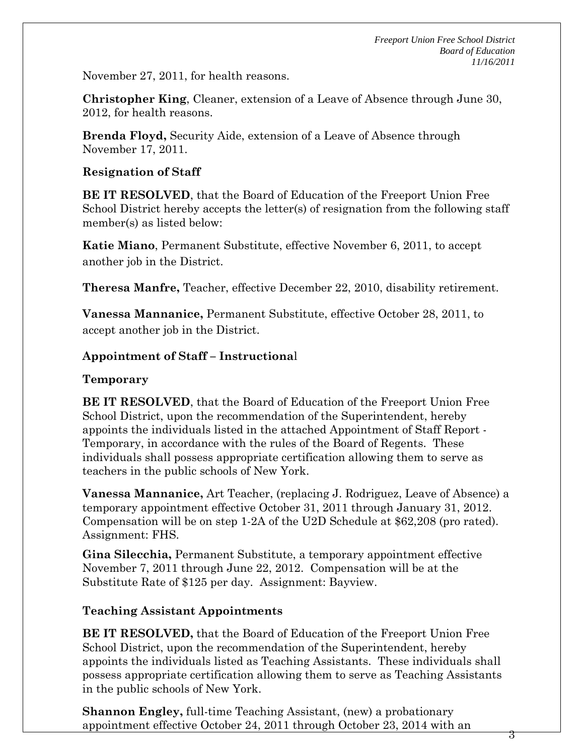3

November 27, 2011, for health reasons.

**Christopher King**, Cleaner, extension of a Leave of Absence through June 30, 2012, for health reasons.

**Brenda Floyd,** Security Aide, extension of a Leave of Absence through November 17, 2011.

### **Resignation of Staff**

**BE IT RESOLVED**, that the Board of Education of the Freeport Union Free School District hereby accepts the letter(s) of resignation from the following staff member(s) as listed below:

**Katie Miano**, Permanent Substitute, effective November 6, 2011, to accept another job in the District.

**Theresa Manfre,** Teacher, effective December 22, 2010, disability retirement.

**Vanessa Mannanice,** Permanent Substitute, effective October 28, 2011, to accept another job in the District.

### **Appointment of Staff – Instructiona**l

### **Temporary**

**BE IT RESOLVED**, that the Board of Education of the Freeport Union Free School District, upon the recommendation of the Superintendent, hereby appoints the individuals listed in the attached Appointment of Staff Report - Temporary, in accordance with the rules of the Board of Regents. These individuals shall possess appropriate certification allowing them to serve as teachers in the public schools of New York.

**Vanessa Mannanice,** Art Teacher, (replacing J. Rodriguez, Leave of Absence) a temporary appointment effective October 31, 2011 through January 31, 2012. Compensation will be on step 1-2A of the U2D Schedule at \$62,208 (pro rated). Assignment: FHS.

**Gina Silecchia,** Permanent Substitute, a temporary appointment effective November 7, 2011 through June 22, 2012. Compensation will be at the Substitute Rate of \$125 per day. Assignment: Bayview.

### **Teaching Assistant Appointments**

**BE IT RESOLVED,** that the Board of Education of the Freeport Union Free School District, upon the recommendation of the Superintendent, hereby appoints the individuals listed as Teaching Assistants. These individuals shall possess appropriate certification allowing them to serve as Teaching Assistants in the public schools of New York.

**Shannon Engley,** full-time Teaching Assistant, (new) a probationary appointment effective October 24, 2011 through October 23, 2014 with an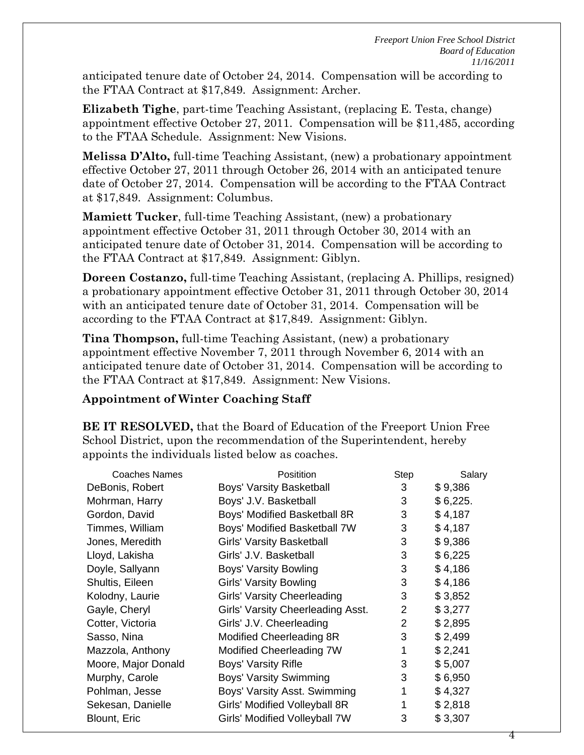4

anticipated tenure date of October 24, 2014. Compensation will be according to the FTAA Contract at \$17,849. Assignment: Archer.

**Elizabeth Tighe**, part-time Teaching Assistant, (replacing E. Testa, change) appointment effective October 27, 2011. Compensation will be \$11,485, according to the FTAA Schedule. Assignment: New Visions.

**Melissa D'Alto,** full-time Teaching Assistant, (new) a probationary appointment effective October 27, 2011 through October 26, 2014 with an anticipated tenure date of October 27, 2014. Compensation will be according to the FTAA Contract at \$17,849. Assignment: Columbus.

**Mamiett Tucker**, full-time Teaching Assistant, (new) a probationary appointment effective October 31, 2011 through October 30, 2014 with an anticipated tenure date of October 31, 2014. Compensation will be according to the FTAA Contract at \$17,849. Assignment: Giblyn.

**Doreen Costanzo,** full-time Teaching Assistant, (replacing A. Phillips, resigned) a probationary appointment effective October 31, 2011 through October 30, 2014 with an anticipated tenure date of October 31, 2014. Compensation will be according to the FTAA Contract at \$17,849. Assignment: Giblyn.

**Tina Thompson,** full-time Teaching Assistant, (new) a probationary appointment effective November 7, 2011 through November 6, 2014 with an anticipated tenure date of October 31, 2014. Compensation will be according to the FTAA Contract at \$17,849. Assignment: New Visions.

### **Appointment of Winter Coaching Staff**

**BE IT RESOLVED,** that the Board of Education of the Freeport Union Free School District, upon the recommendation of the Superintendent, hereby appoints the individuals listed below as coaches.

| Coaches Names       | Positition                        | Step           | Salary   |
|---------------------|-----------------------------------|----------------|----------|
| DeBonis, Robert     | <b>Boys' Varsity Basketball</b>   | 3              | \$9,386  |
| Mohrman, Harry      | Boys' J.V. Basketball             | 3              | \$6,225. |
| Gordon, David       | Boys' Modified Basketball 8R      | 3              | \$4,187  |
| Timmes, William     | Boys' Modified Basketball 7W      | 3              | \$4,187  |
| Jones, Meredith     | <b>Girls' Varsity Basketball</b>  | 3              | \$9,386  |
| Lloyd, Lakisha      | Girls' J.V. Basketball            | 3              | \$6,225  |
| Doyle, Sallyann     | Boys' Varsity Bowling             | 3              | \$4,186  |
| Shultis, Eileen     | <b>Girls' Varsity Bowling</b>     | 3              | \$4,186  |
| Kolodny, Laurie     | Girls' Varsity Cheerleading       | 3              | \$3,852  |
| Gayle, Cheryl       | Girls' Varsity Cheerleading Asst. | 2              | \$3,277  |
| Cotter, Victoria    | Girls' J.V. Cheerleading          | $\overline{2}$ | \$2,895  |
| Sasso, Nina         | Modified Cheerleading 8R          | 3              | \$2,499  |
| Mazzola, Anthony    | Modified Cheerleading 7W          | 1              | \$2,241  |
| Moore, Major Donald | Boys' Varsity Rifle               | 3              | \$5,007  |
| Murphy, Carole      | Boys' Varsity Swimming            | 3              | \$6,950  |
| Pohlman, Jesse      | Boys' Varsity Asst. Swimming      | 1              | \$4,327  |
| Sekesan, Danielle   | Girls' Modified Volleyball 8R     |                | \$2,818  |
| Blount, Eric        | Girls' Modified Volleyball 7W     | 3              | \$3,307  |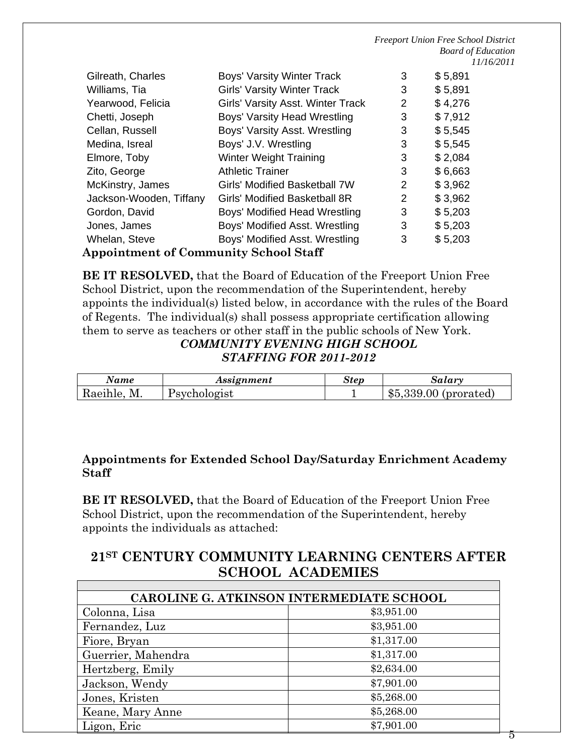|                                              |                                          |   | <b>Freeport Union Free School District</b> |  |
|----------------------------------------------|------------------------------------------|---|--------------------------------------------|--|
|                                              |                                          |   | <b>Board of Education</b>                  |  |
|                                              |                                          |   | 11/16/2011                                 |  |
| Gilreath, Charles                            | <b>Boys' Varsity Winter Track</b>        | 3 | \$5,891                                    |  |
| Williams, Tia                                | <b>Girls' Varsity Winter Track</b>       | 3 | \$5,891                                    |  |
| Yearwood, Felicia                            | <b>Girls' Varsity Asst. Winter Track</b> | 2 | \$4,276                                    |  |
| Chetti, Joseph                               | Boys' Varsity Head Wrestling             | 3 | \$7,912                                    |  |
| Cellan, Russell                              | Boys' Varsity Asst. Wrestling            | 3 | \$5,545                                    |  |
| Medina, Isreal                               | Boys' J.V. Wrestling                     | 3 | \$5,545                                    |  |
| Elmore, Toby                                 | <b>Winter Weight Training</b>            | 3 | \$2,084                                    |  |
| Zito, George                                 | <b>Athletic Trainer</b>                  | 3 | \$6,663                                    |  |
| McKinstry, James                             | Girls' Modified Basketball 7W            | 2 | \$3,962                                    |  |
| Jackson-Wooden, Tiffany                      | <b>Girls' Modified Basketball 8R</b>     | 2 | \$3,962                                    |  |
| Gordon, David                                | Boys' Modified Head Wrestling            | 3 | \$5,203                                    |  |
| Jones, James                                 | Boys' Modified Asst. Wrestling           | 3 | \$5,203                                    |  |
| Whelan, Steve                                | Boys' Modified Asst. Wrestling           | 3 | \$5,203                                    |  |
| <b>Appointment of Community School Staff</b> |                                          |   |                                            |  |

**BE IT RESOLVED,** that the Board of Education of the Freeport Union Free School District, upon the recommendation of the Superintendent, hereby appoints the individual(s) listed below, in accordance with the rules of the Board of Regents. The individual(s) shall possess appropriate certification allowing them to serve as teachers or other staff in the public schools of New York.

#### *COMMUNITY EVENING HIGH SCHOOL STAFFING FOR 2011-2012*

| Name           | Assignment   | <b>Step</b> | Salarv                 |
|----------------|--------------|-------------|------------------------|
| M.<br>Raeihle, | Psychologist |             | $$5,339.00$ (prorated) |

### **Appointments for Extended School Day/Saturday Enrichment Academy Staff**

**BE IT RESOLVED,** that the Board of Education of the Freeport Union Free School District, upon the recommendation of the Superintendent, hereby appoints the individuals as attached:

# **21ST CENTURY COMMUNITY LEARNING CENTERS AFTER SCHOOL ACADEMIES**

| CAROLINE G. ATKINSON INTERMEDIATE SCHOOL |            |  |  |
|------------------------------------------|------------|--|--|
| Colonna, Lisa                            | \$3,951.00 |  |  |
| Fernandez, Luz                           | \$3,951.00 |  |  |
| Fiore, Bryan                             | \$1,317.00 |  |  |
| Guerrier, Mahendra                       | \$1,317.00 |  |  |
| Hertzberg, Emily                         | \$2,634.00 |  |  |
| Jackson, Wendy                           | \$7,901.00 |  |  |
| Jones, Kristen                           | \$5,268.00 |  |  |
| Keane, Mary Anne                         | \$5,268.00 |  |  |
| Ligon, Eric                              | \$7,901.00 |  |  |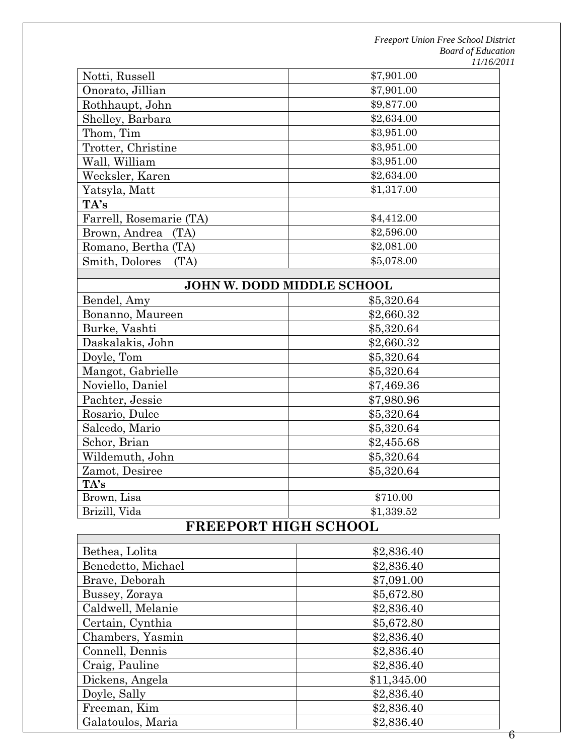| Notti, Russell          | \$7,901.00 |
|-------------------------|------------|
| Onorato, Jillian        | \$7,901.00 |
| Rothhaupt, John         | \$9,877.00 |
| Shelley, Barbara        | \$2,634.00 |
| Thom, Tim               | \$3,951.00 |
| Trotter, Christine      | \$3,951.00 |
| Wall, William           | \$3,951.00 |
| Wecksler, Karen         | \$2,634.00 |
| Yatsyla, Matt           | \$1,317.00 |
| TA's                    |            |
| Farrell, Rosemarie (TA) | \$4,412.00 |
| Brown, Andrea<br>(TA)   | \$2,596.00 |
| Romano, Bertha (TA)     | \$2,081.00 |
| Smith, Dolores<br>(TA)  | \$5,078.00 |

### **JOHN W. DODD MIDDLE SCHOOL**

| 901111 W.DODD MIDDDL SONOOD |            |  |  |
|-----------------------------|------------|--|--|
| Bendel, Amy                 | \$5,320.64 |  |  |
| Bonanno, Maureen            | \$2,660.32 |  |  |
| Burke, Vashti               | \$5,320.64 |  |  |
| Daskalakis, John            | \$2,660.32 |  |  |
| Doyle, Tom                  | \$5,320.64 |  |  |
| Mangot, Gabrielle           | \$5,320.64 |  |  |
| Noviello, Daniel            | \$7,469.36 |  |  |
| Pachter, Jessie             | \$7,980.96 |  |  |
| Rosario, Dulce              | \$5,320.64 |  |  |
| Salcedo, Mario              | \$5,320.64 |  |  |
| Schor, Brian                | \$2,455.68 |  |  |
| Wildemuth, John             | \$5,320.64 |  |  |
| Zamot, Desiree              | \$5,320.64 |  |  |
| TA's                        |            |  |  |
| Brown, Lisa                 | \$710.00   |  |  |
| Brizill, Vida               | \$1,339.52 |  |  |
|                             |            |  |  |

# **FREEPORT HIGH SCHOOL**

| Bethea, Lolita     | \$2,836.40  |
|--------------------|-------------|
| Benedetto, Michael | \$2,836.40  |
| Brave, Deborah     | \$7,091.00  |
| Bussey, Zoraya     | \$5,672.80  |
| Caldwell, Melanie  | \$2,836.40  |
| Certain, Cynthia   | \$5,672.80  |
| Chambers, Yasmin   | \$2,836.40  |
| Connell, Dennis    | \$2,836.40  |
| Craig, Pauline     | \$2,836.40  |
| Dickens, Angela    | \$11,345.00 |
| Doyle, Sally       | \$2,836.40  |
| Freeman, Kim       | \$2,836.40  |
| Galatoulos, Maria  | \$2,836.40  |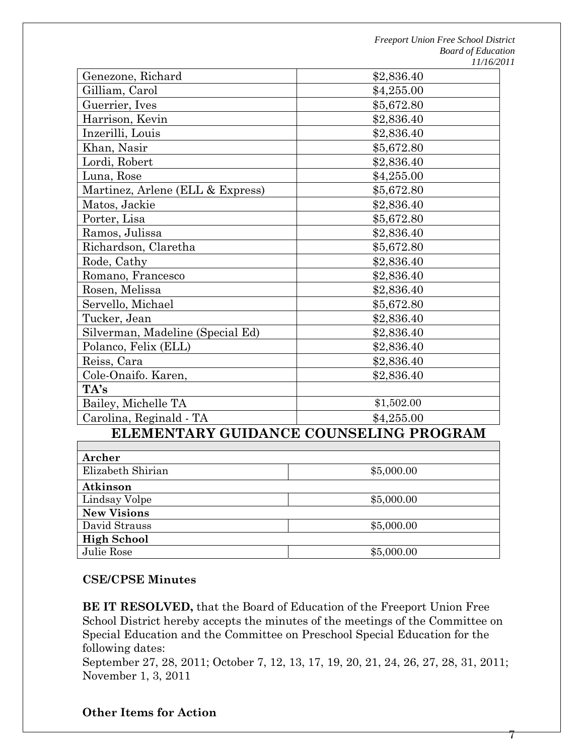| Genezone, Richard                      | \$2,836.40 |  |  |
|----------------------------------------|------------|--|--|
| Gilliam, Carol                         | \$4,255.00 |  |  |
| Guerrier, Ives                         | \$5,672.80 |  |  |
| Harrison, Kevin                        | \$2,836.40 |  |  |
| Inzerilli, Louis                       | \$2,836.40 |  |  |
| Khan, Nasir                            | \$5,672.80 |  |  |
| Lordi, Robert                          | \$2,836.40 |  |  |
| Luna, Rose                             | \$4,255.00 |  |  |
| Martinez, Arlene (ELL & Express)       | \$5,672.80 |  |  |
| Matos, Jackie                          | \$2,836.40 |  |  |
| Porter, Lisa                           | \$5,672.80 |  |  |
| Ramos, Julissa                         | \$2,836.40 |  |  |
| Richardson, Claretha                   | \$5,672.80 |  |  |
| Rode, Cathy                            | \$2,836.40 |  |  |
| Romano, Francesco                      | \$2,836.40 |  |  |
| Rosen, Melissa                         | \$2,836.40 |  |  |
| Servello, Michael                      | \$5,672.80 |  |  |
| Tucker, Jean                           | \$2,836.40 |  |  |
| Silverman, Madeline (Special Ed)       | \$2,836.40 |  |  |
| Polanco, Felix (ELL)                   | \$2,836.40 |  |  |
| Reiss, Cara                            | \$2,836.40 |  |  |
| Cole-Onaifo. Karen,                    | \$2,836.40 |  |  |
| TA's                                   |            |  |  |
| Bailey, Michelle TA                    | \$1,502.00 |  |  |
| Carolina, Reginald - TA                | \$4,255.00 |  |  |
| ELEMENTARY GUIDANCE COUNSELING PROGRAM |            |  |  |
|                                        |            |  |  |
| Archer                                 |            |  |  |
| Elizabeth Shirian                      | \$5,000.00 |  |  |
| Atkinson                               |            |  |  |
| Lindsay Volpe                          | \$5,000.00 |  |  |

| <b>CSE/CPSE Minutes</b> |  |
|-------------------------|--|

**New Visions** 

**High School** 

**BE IT RESOLVED,** that the Board of Education of the Freeport Union Free School District hereby accepts the minutes of the meetings of the Committee on Special Education and the Committee on Preschool Special Education for the following dates:

David Strauss \$5,000.00

Julie Rose  $$5,000.00$ 

September 27, 28, 2011; October 7, 12, 13, 17, 19, 20, 21, 24, 26, 27, 28, 31, 2011; November 1, 3, 2011

### **Other Items for Action**

7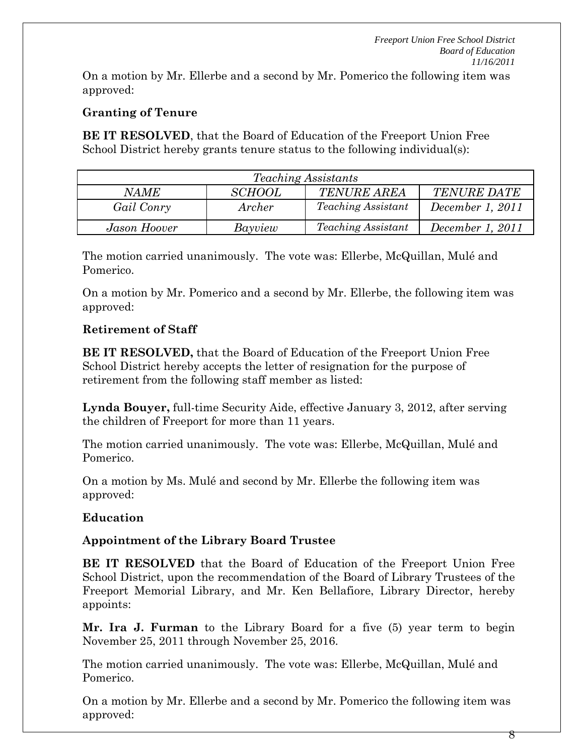On a motion by Mr. Ellerbe and a second by Mr. Pomerico the following item was approved:

# **Granting of Tenure**

**BE IT RESOLVED**, that the Board of Education of the Freeport Union Free School District hereby grants tenure status to the following individual(s):

| <i>Teaching Assistants</i>                                               |         |                           |                  |  |
|--------------------------------------------------------------------------|---------|---------------------------|------------------|--|
| <b>TENURE AREA</b><br><i>SCHOOL</i><br><b>TENURE DATE</b><br><i>NAME</i> |         |                           |                  |  |
| Gail Conry                                                               | Archer  | <i>Teaching Assistant</i> | December 1, 2011 |  |
| Jason Hoover                                                             | Bayview | <i>Teaching Assistant</i> | December 1, 2011 |  |

The motion carried unanimously. The vote was: Ellerbe, McQuillan, Mulé and Pomerico.

On a motion by Mr. Pomerico and a second by Mr. Ellerbe, the following item was approved:

# **Retirement of Staff**

**BE IT RESOLVED,** that the Board of Education of the Freeport Union Free School District hereby accepts the letter of resignation for the purpose of retirement from the following staff member as listed:

**Lynda Bouyer,** full-time Security Aide, effective January 3, 2012, after serving the children of Freeport for more than 11 years.

The motion carried unanimously. The vote was: Ellerbe, McQuillan, Mulé and Pomerico.

On a motion by Ms. Mulé and second by Mr. Ellerbe the following item was approved:

# **Education**

# **Appointment of the Library Board Trustee**

**BE IT RESOLVED** that the Board of Education of the Freeport Union Free School District, upon the recommendation of the Board of Library Trustees of the Freeport Memorial Library, and Mr. Ken Bellafiore, Library Director, hereby appoints:

**Mr. Ira J. Furman** to the Library Board for a five (5) year term to begin November 25, 2011 through November 25, 2016.

The motion carried unanimously. The vote was: Ellerbe, McQuillan, Mulé and Pomerico.

On a motion by Mr. Ellerbe and a second by Mr. Pomerico the following item was approved: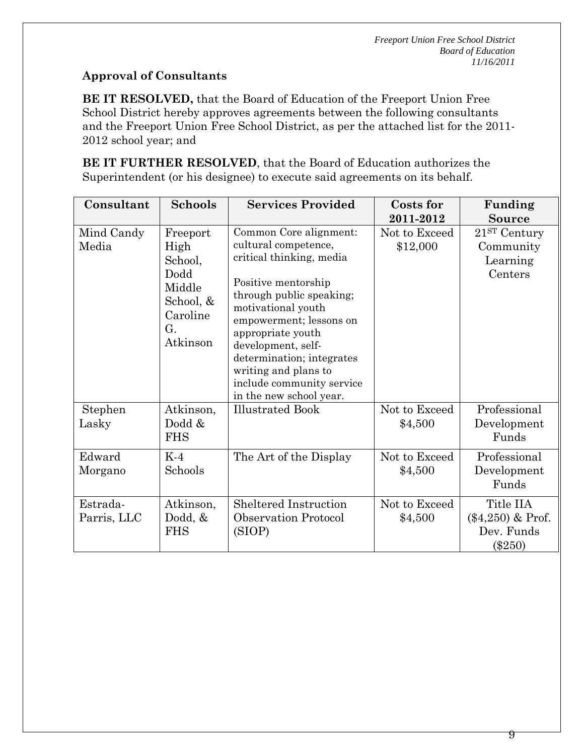# **Approval of Consultants**

**BE IT RESOLVED,** that the Board of Education of the Freeport Union Free School District hereby approves agreements between the following consultants and the Freeport Union Free School District, as per the attached list for the 2011- 2012 school year; and

**BE IT FURTHER RESOLVED**, that the Board of Education authorizes the Superintendent (or his designee) to execute said agreements on its behalf.

| Consultant              | <b>Schools</b>                                                                           | <b>Services Provided</b>                                                                                                                                                                                                                                                                                                               | Costs for<br>2011-2012    | Funding<br>Source                                           |
|-------------------------|------------------------------------------------------------------------------------------|----------------------------------------------------------------------------------------------------------------------------------------------------------------------------------------------------------------------------------------------------------------------------------------------------------------------------------------|---------------------------|-------------------------------------------------------------|
| Mind Candy<br>Media     | Freeport<br>High<br>School,<br>Dodd<br>Middle<br>School, &<br>Caroline<br>G.<br>Atkinson | Common Core alignment:<br>cultural competence,<br>critical thinking, media<br>Positive mentorship<br>through public speaking;<br>motivational youth<br>empowerment; lessons on<br>appropriate youth<br>development, self-<br>determination; integrates<br>writing and plans to<br>include community service<br>in the new school year. | Not to Exceed<br>\$12,000 | 21ST Century<br>Community<br>Learning<br>Centers            |
| Stephen<br>Lasky        | Atkinson,<br>Dodd &<br><b>FHS</b>                                                        | <b>Illustrated Book</b>                                                                                                                                                                                                                                                                                                                | Not to Exceed<br>\$4,500  | Professional<br>Development<br>Funds                        |
| Edward<br>Morgano       | $K-4$<br>Schools                                                                         | The Art of the Display                                                                                                                                                                                                                                                                                                                 | Not to Exceed<br>\$4,500  | Professional<br>Development<br>Funds                        |
| Estrada-<br>Parris, LLC | Atkinson,<br>Dodd, $&$<br><b>FHS</b>                                                     | <b>Sheltered Instruction</b><br><b>Observation Protocol</b><br>(SIOP)                                                                                                                                                                                                                                                                  | Not to Exceed<br>\$4,500  | Title IIA<br>$(\$4,250)$ & Prof.<br>Dev. Funds<br>$(\$250)$ |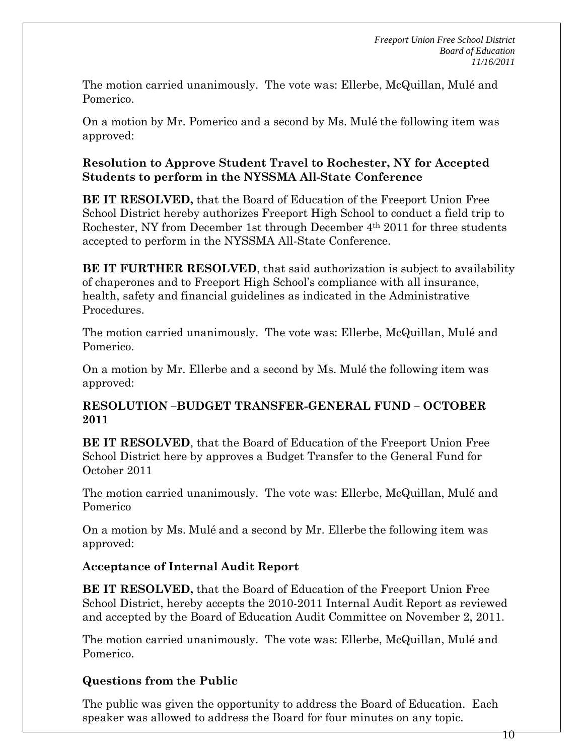The motion carried unanimously. The vote was: Ellerbe, McQuillan, Mulé and Pomerico.

On a motion by Mr. Pomerico and a second by Ms. Mulé the following item was approved:

### **Resolution to Approve Student Travel to Rochester, NY for Accepted Students to perform in the NYSSMA All-State Conference**

**BE IT RESOLVED,** that the Board of Education of the Freeport Union Free School District hereby authorizes Freeport High School to conduct a field trip to Rochester, NY from December 1st through December 4th 2011 for three students accepted to perform in the NYSSMA All-State Conference.

**BE IT FURTHER RESOLVED**, that said authorization is subject to availability of chaperones and to Freeport High School's compliance with all insurance, health, safety and financial guidelines as indicated in the Administrative Procedures.

The motion carried unanimously. The vote was: Ellerbe, McQuillan, Mulé and Pomerico.

On a motion by Mr. Ellerbe and a second by Ms. Mulé the following item was approved:

### **RESOLUTION –BUDGET TRANSFER-GENERAL FUND – OCTOBER 2011**

**BE IT RESOLVED**, that the Board of Education of the Freeport Union Free School District here by approves a Budget Transfer to the General Fund for October 2011

The motion carried unanimously. The vote was: Ellerbe, McQuillan, Mulé and Pomerico

On a motion by Ms. Mulé and a second by Mr. Ellerbe the following item was approved:

# **Acceptance of Internal Audit Report**

**BE IT RESOLVED,** that the Board of Education of the Freeport Union Free School District, hereby accepts the 2010-2011 Internal Audit Report as reviewed and accepted by the Board of Education Audit Committee on November 2, 2011.

The motion carried unanimously. The vote was: Ellerbe, McQuillan, Mulé and Pomerico.

# **Questions from the Public**

The public was given the opportunity to address the Board of Education. Each speaker was allowed to address the Board for four minutes on any topic.